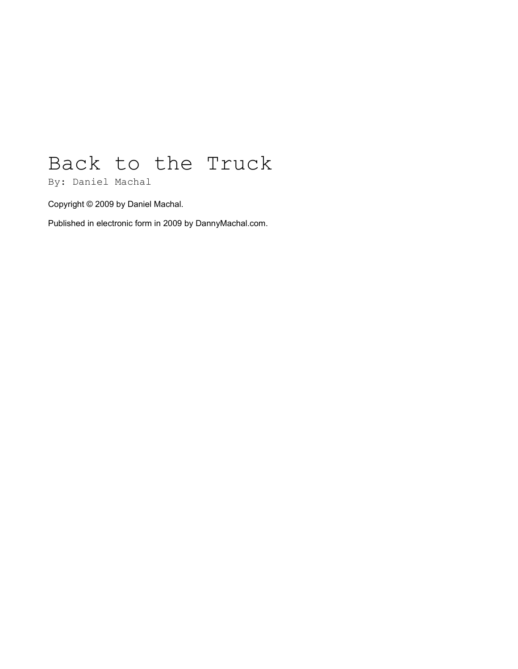## Back to the Truck

By: Daniel Machal

Copyright © 2009 by Daniel Machal.

Published in electronic form in 2009 by DannyMachal.com.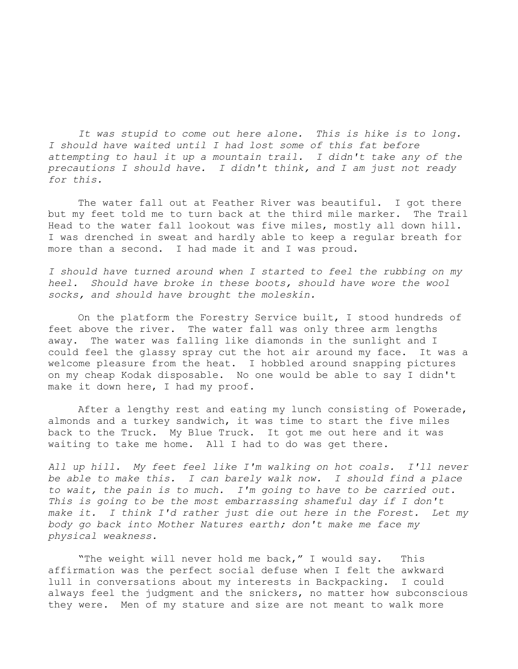*It was stupid to come out here alone. This is hike is to long. I should have waited until I had lost some of this fat before attempting to haul it up a mountain trail. I didn't take any of the precautions I should have. I didn't think, and I am just not ready for this.*

The water fall out at Feather River was beautiful. I got there but my feet told me to turn back at the third mile marker. The Trail Head to the water fall lookout was five miles, mostly all down hill. I was drenched in sweat and hardly able to keep a regular breath for more than a second. I had made it and I was proud.

*I should have turned around when I started to feel the rubbing on my heel. Should have broke in these boots, should have wore the wool socks, and should have brought the moleskin.* 

On the platform the Forestry Service built, I stood hundreds of feet above the river. The water fall was only three arm lengths away. The water was falling like diamonds in the sunlight and I could feel the glassy spray cut the hot air around my face. It was a welcome pleasure from the heat. I hobbled around snapping pictures on my cheap Kodak disposable. No one would be able to say I didn't make it down here, I had my proof.

After a lengthy rest and eating my lunch consisting of Powerade, almonds and a turkey sandwich, it was time to start the five miles back to the Truck. My Blue Truck. It got me out here and it was waiting to take me home. All I had to do was get there.

*All up hill. My feet feel like I'm walking on hot coals. I'll never be able to make this. I can barely walk now. I should find a place to wait, the pain is to much. I'm going to have to be carried out. This is going to be the most embarrassing shameful day if I don't make it. I think I'd rather just die out here in the Forest. Let my body go back into Mother Natures earth; don't make me face my physical weakness.*

"The weight will never hold me back," I would say. This affirmation was the perfect social defuse when I felt the awkward lull in conversations about my interests in Backpacking. I could always feel the judgment and the snickers, no matter how subconscious they were. Men of my stature and size are not meant to walk more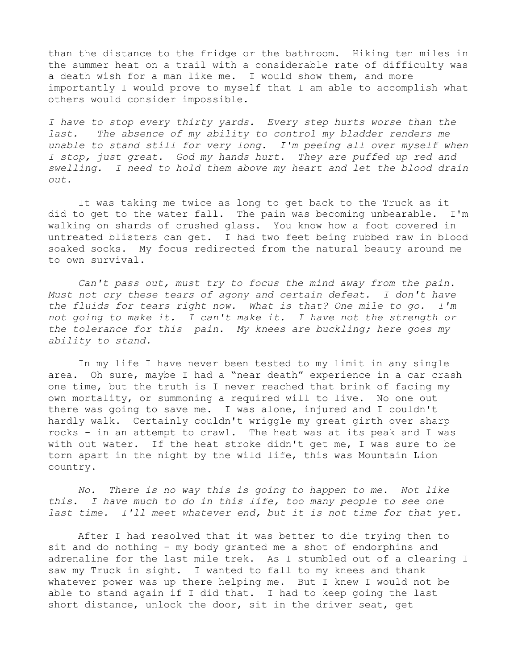than the distance to the fridge or the bathroom. Hiking ten miles in the summer heat on a trail with a considerable rate of difficulty was a death wish for a man like me. I would show them, and more importantly I would prove to myself that I am able to accomplish what others would consider impossible.

*I have to stop every thirty yards. Every step hurts worse than the last. The absence of my ability to control my bladder renders me unable to stand still for very long. I'm peeing all over myself when I stop, just great. God my hands hurt. They are puffed up red and swelling. I need to hold them above my heart and let the blood drain out.*

It was taking me twice as long to get back to the Truck as it did to get to the water fall. The pain was becoming unbearable. I'm walking on shards of crushed glass. You know how a foot covered in untreated blisters can get. I had two feet being rubbed raw in blood soaked socks. My focus redirected from the natural beauty around me to own survival.

*Can't pass out, must try to focus the mind away from the pain. Must not cry these tears of agony and certain defeat. I don't have the fluids for tears right now. What is that? One mile to go. I'm not going to make it. I can't make it. I have not the strength or the tolerance for this pain. My knees are buckling; here goes my ability to stand.*

In my life I have never been tested to my limit in any single area. Oh sure, maybe I had a "near death" experience in a car crash one time, but the truth is I never reached that brink of facing my own mortality, or summoning a required will to live. No one out there was going to save me. I was alone, injured and I couldn't hardly walk. Certainly couldn't wriggle my great girth over sharp rocks - in an attempt to crawl. The heat was at its peak and I was with out water. If the heat stroke didn't get me, I was sure to be torn apart in the night by the wild life, this was Mountain Lion country.

*No. There is no way this is going to happen to me. Not like this. I have much to do in this life, too many people to see one last time. I'll meet whatever end, but it is not time for that yet.*

After I had resolved that it was better to die trying then to sit and do nothing - my body granted me a shot of endorphins and adrenaline for the last mile trek. As I stumbled out of a clearing I saw my Truck in sight. I wanted to fall to my knees and thank whatever power was up there helping me. But I knew I would not be able to stand again if I did that. I had to keep going the last short distance, unlock the door, sit in the driver seat, get